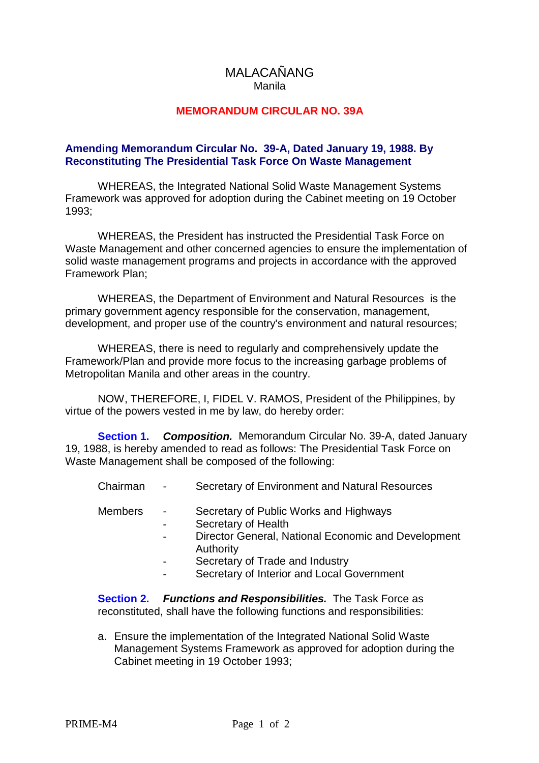## MALACAÑANG Manila

## **MEMORANDUM CIRCULAR NO. 39A**

## **Amending Memorandum Circular No. 39-A, Dated January 19, 1988. By Reconstituting The Presidential Task Force On Waste Management**

WHEREAS, the Integrated National Solid Waste Management Systems Framework was approved for adoption during the Cabinet meeting on 19 October 1993;

WHEREAS, the President has instructed the Presidential Task Force on Waste Management and other concerned agencies to ensure the implementation of solid waste management programs and projects in accordance with the approved Framework Plan;

WHEREAS, the Department of Environment and Natural Resources is the primary government agency responsible for the conservation, management, development, and proper use of the country's environment and natural resources;

WHEREAS, there is need to regularly and comprehensively update the Framework/Plan and provide more focus to the increasing garbage problems of Metropolitan Manila and other areas in the country.

NOW, THEREFORE, I, FIDEL V. RAMOS, President of the Philippines, by virtue of the powers vested in me by law, do hereby order:

**Section 1. Composition.** Memorandum Circular No. 39-A, dated January 19, 1988, is hereby amended to read as follows: The Presidential Task Force on Waste Management shall be composed of the following:

Chairman - Secretary of Environment and Natural Resources

- Members Secretary of Public Works and Highways
	- Secretary of Health
	- Director General, National Economic and Development Authority
	- Secretary of Trade and Industry
	- Secretary of Interior and Local Government

**Section 2. Functions and Responsibilities.** The Task Force as reconstituted, shall have the following functions and responsibilities:

a. Ensure the implementation of the Integrated National Solid Waste Management Systems Framework as approved for adoption during the Cabinet meeting in 19 October 1993;